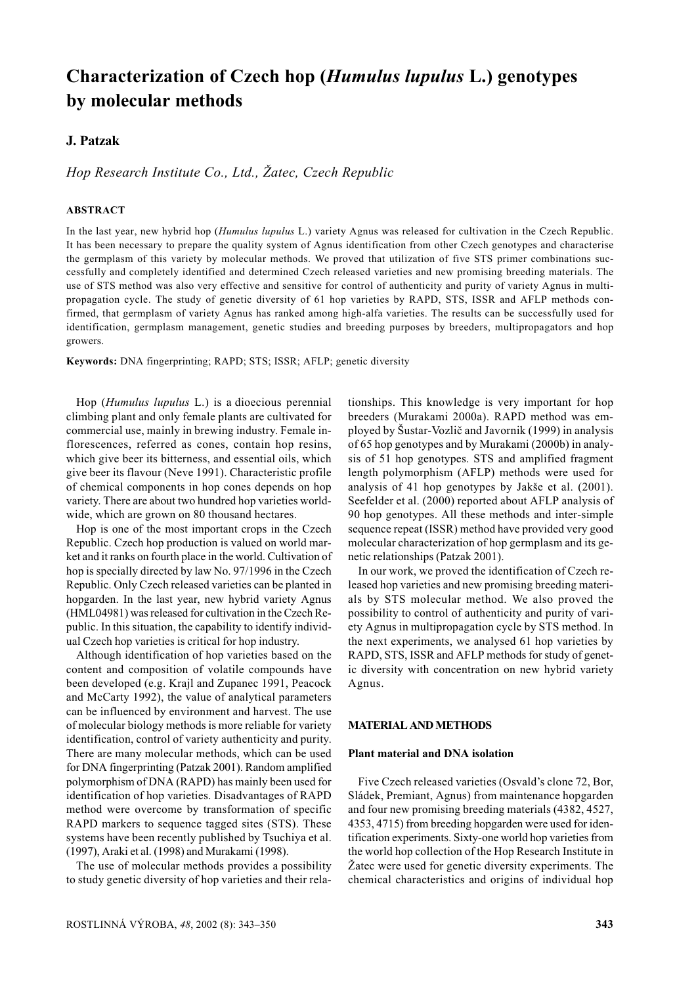# Characterization of Czech hop (*Humulus lupulus L.*) genotypes by molecular methods

## **J. Patzak**

Hop Research Institute Co., Ltd., Žatec, Czech Republic

# **ABSTRACT**

In the last year, new hybrid hop (Humulus lupulus L.) variety Agnus was released for cultivation in the Czech Republic. It has been necessary to prepare the quality system of Agnus identification from other Czech genotypes and characterise the germplasm of this variety by molecular methods. We proved that utilization of five STS primer combinations successfully and completely identified and determined Czech released varieties and new promising breeding materials. The use of STS method was also very effective and sensitive for control of authenticity and purity of variety Agnus in multipropagation cycle. The study of genetic diversity of 61 hop varieties by RAPD, STS, ISSR and AFLP methods confirmed, that germplasm of variety Agnus has ranked among high-alfa varieties. The results can be successfully used for identification, germplasm management, genetic studies and breeding purposes by breeders, multipropagators and hop growers.

Keywords: DNA fingerprinting; RAPD; STS; ISSR; AFLP; genetic diversity

Hop (Humulus lupulus L.) is a dioecious perennial climbing plant and only female plants are cultivated for commercial use, mainly in brewing industry. Female inflorescences, referred as cones, contain hop resins, which give beer its bitterness, and essential oils, which give beer its flavour (Neve 1991). Characteristic profile of chemical components in hop cones depends on hop variety. There are about two hundred hop varieties worldwide, which are grown on 80 thousand hectares.

Hop is one of the most important crops in the Czech Republic. Czech hop production is valued on world market and it ranks on fourth place in the world. Cultivation of hop is specially directed by law No. 97/1996 in the Czech Republic. Only Czech released varieties can be planted in hopgarden. In the last year, new hybrid variety Agnus (HML04981) was released for cultivation in the Czech Republic. In this situation, the capability to identify individual Czech hop varieties is critical for hop industry.

Although identification of hop varieties based on the content and composition of volatile compounds have been developed (e.g. Krajl and Zupanec 1991, Peacock and McCarty 1992), the value of analytical parameters can be influenced by environment and harvest. The use of molecular biology methods is more reliable for variety identification, control of variety authenticity and purity. There are many molecular methods, which can be used for DNA fingerprinting (Patzak 2001). Random amplified polymorphism of DNA (RAPD) has mainly been used for identification of hop varieties. Disadvantages of RAPD method were overcome by transformation of specific RAPD markers to sequence tagged sites (STS). These systems have been recently published by Tsuchiya et al. (1997), Araki et al. (1998) and Murakami (1998).

The use of molecular methods provides a possibility to study genetic diversity of hop varieties and their relationships. This knowledge is very important for hop breeders (Murakami 2000a). RAPD method was emploved by Šustar-Vozlič and Javornik (1999) in analysis of 65 hop genotypes and by Murakami (2000b) in analysis of 51 hop genotypes. STS and amplified fragment length polymorphism (AFLP) methods were used for analysis of 41 hop genotypes by Jakše et al. (2001). Seefelder et al. (2000) reported about AFLP analysis of 90 hop genotypes. All these methods and inter-simple sequence repeat (ISSR) method have provided very good molecular characterization of hop germplasm and its genetic relationships (Patzak 2001).

In our work, we proved the identification of Czech released hop varieties and new promising breeding materials by STS molecular method. We also proved the possibility to control of authenticity and purity of variety Agnus in multipropagation cycle by STS method. In the next experiments, we analysed 61 hop varieties by RAPD, STS, ISSR and AFLP methods for study of genetic diversity with concentration on new hybrid variety Agnus.

#### **MATERIAL AND METHODS**

## Plant material and DNA isolation

Five Czech released varieties (Osvald's clone 72, Bor. Sládek, Premiant, Agnus) from maintenance hopgarden and four new promising breeding materials (4382, 4527, 4353, 4715) from breeding hopgarden were used for identification experiments. Sixty-one world hop varieties from the world hop collection of the Hop Research Institute in Žatec were used for genetic diversity experiments. The chemical characteristics and origins of individual hop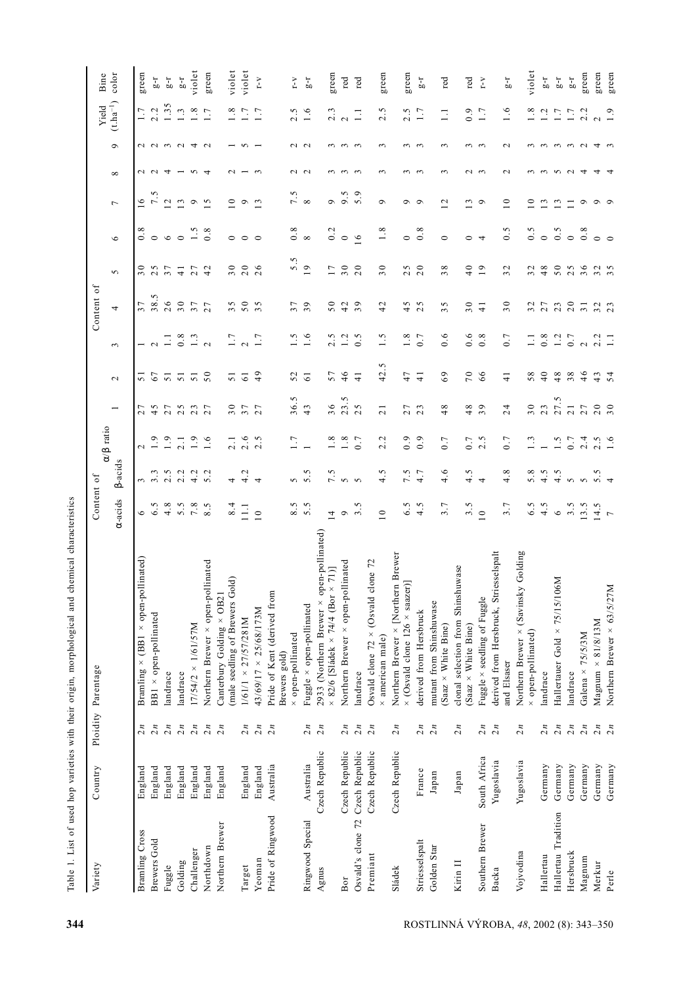| Variety               | Country         |                 | Ploidity Parentage                                                                   | Content of                        |                  | $α/β$ ratio      |                               |                 |                     | Content of                            |                               |                    |                     |                  |                   | Yield         | Bine          |
|-----------------------|-----------------|-----------------|--------------------------------------------------------------------------------------|-----------------------------------|------------------|------------------|-------------------------------|-----------------|---------------------|---------------------------------------|-------------------------------|--------------------|---------------------|------------------|-------------------|---------------|---------------|
|                       |                 |                 |                                                                                      | $\alpha$ -acids                   | <b>B-acids</b>   |                  |                               | $\mathbf{\sim}$ | 3                   | 4                                     | $\sigma$                      | $\circ$            | $\overline{ }$      | $\infty$         | $\circ$           | $(t.ha^{-1})$ | color         |
| <b>Bramling</b> Cross | England         | $\sum n$        | Bramling × (BB1 × open-pollinated)                                                   | 6                                 | ξ                | $\mathbf 2$      | Γ<br>$\overline{\mathcal{L}}$ | 51              |                     | 37                                    | 30                            |                    | 16                  | $\sim$           |                   | 1.7           | green         |
| Brewers Gold          | England         | 2n              | BB1 × open-pollinated                                                                | Νj.<br>$\circ$                    | ن.<br>$\sim$     | $\frac{9}{1}$    |                               | 67              | $\sim$              | 38.5                                  | $\sim$<br>$\sim$              | $\circ$            | 7.5                 | $\sim$           | $\sim$ $\sim$     | 2.2           | $1-9$         |
| Fuggle                | England         | 2n              | landrace                                                                             | 4.8                               | 2.5              | 1.9              |                               | 51              |                     | 26                                    | 37                            | $\circ$            | $\overline{c}$      | ₹                | $\omega$ $\omega$ | 1.35          | $1\hbox{--}6$ |
| Golding               | England         | 2n              | landrace                                                                             | 5.5                               | 2.2              | 2.1              | 47703                         | $\overline{51}$ | $0.\overline{8}$    | 30                                    | $\frac{1}{4}$                 | $\circ$            | 13                  |                  |                   | 1.3           | $1-9$         |
| Challenger            | England         | 2n              | 17/54/2 × 1/61/57M                                                                   | 7.8                               | 4.2              | 1.9              |                               | $\overline{51}$ | 1.3                 | $\overline{3}$                        | 27                            | 1.5                | $\circ$             | S                | $\overline{4}$    | $1.8\,$       | violet        |
| Northdown             | England         | $\frac{2}{n}$   | Northern Brewer × open-pollinated                                                    | $\tilde{\mathcal{L}}$<br>$\infty$ | 5.2              | 1.6              | 27                            | 50              | $\sim$              | 27                                    | 42                            | $0.\overline{8}$   | $\overline{5}$      | ₹                | $\sim$            | 1.7           | green         |
| Northern Brewer       | England         | 2n              | (male seedling of Brewers Gold)<br>Canterbury Golding × OB21                         | 8.4                               | 4                | 2.1              | $\circ$<br>$\sim$             | $\overline{51}$ | 1.7                 | S<br>3                                | 30                            | $\circ$            | $\circ$             | $\sim$           |                   | 1.8           | violet        |
| Target                | England         | $\overline{2n}$ | 1/61/1 × 27/57/281M                                                                  | 11.1                              | 4.2              | 2.6              | $\overline{ }$<br>$\sim$      | $\sqrt{6}$      | $\sim$              | 50                                    | 20                            | $\circ$            | $\circ$             |                  | ∽                 | 1.7           | violet        |
| Yeoman                | England         | 2n              | 43/69/17 × 25/68/173M                                                                | $\overline{10}$                   | $\overline{4}$   | 2.5              | $\overline{ }$<br>$\sim$      | 49              | 1.7                 | $\sim$<br>$\epsilon$                  | $\circ$<br>$\sim$             | $\circ$            | $\epsilon$          |                  |                   | 1.7           | r-v           |
| Pride of Ringwood     | Australia       | $\frac{2}{n}$   | Pride of Kent (derived from<br>Brewers gold)                                         |                                   |                  |                  |                               |                 |                     |                                       |                               |                    |                     |                  |                   |               |               |
|                       |                 |                 | × open-pollinated                                                                    | 8.5                               | S                | 1.7              | 36.5                          | 52              | 1.5                 | 37                                    | 5.5                           | $0.\overline{8}$   | 7.5                 | $\sim$           | $\sim$            | 2.5           | $r - v$       |
| Ringwood Special      | Australia       | 2n              | Fuggle × open-pollinated                                                             | 5.5                               | 5.5              |                  | 43                            | $\overline{6}$  | 1.6                 | 39                                    | 19                            | $\infty$           | $\infty$            | $\sim$           | $\sim$            | 1.6           | $1-9$         |
| Agnus                 | Czech Republic  | 2n              | 2933 (Northern Brewer × open-pollinated)<br>$\times$ 82/6 [Sládek × 74/4 (Bor × 71)] | $\frac{1}{4}$                     | 7.5              | 1.8              | 36                            | 57              | S<br>$\sim$         | 50                                    | 17                            | 0.2                | $\sigma$            | $\sim$           | $\sim$            | 2.3           | green         |
| Bor                   | Czech Republic  | 2n              | Northern Brewer × open-pollinated                                                    | ç                                 | $\sim$           | $\frac{8}{1}$    | 23.5                          | $\frac{6}{1}$   | 1.2                 | 42                                    | 30                            | $\circ$            | 9.5                 |                  | $\sim$            | $\sim$        | red           |
| Osvald's clone 72     | Czech Republic  | 2n              | landrace                                                                             | $3.\overline{5}$                  | $\sim$           | 0.7              | $\sim$<br>$\sim$              | $\frac{1}{4}$   | r.<br>$\dot{\circ}$ | $\circ$<br>$\epsilon$                 | 20                            | 16                 | 5.9                 | $\sim$           | - ო               | $\Box$        | red           |
| Premiant              | Czech Republic  | $\frac{2}{n}$   | Osvald clone $72 \times$ (Osvald clone $72$<br>× american male)                      | $\overline{10}$                   | 4.5              | 2.2              | $\overline{21}$               | 42.5            | 1.5                 | 42                                    | 30                            | 1.8                | $\sigma$            | $\sim$           | 3                 | 2.5           | green         |
| Sládek                | Czech Republic  | 2n              | Northern Brewer × [Northern Brewer                                                   |                                   |                  |                  |                               | 47              |                     |                                       |                               |                    |                     |                  |                   |               |               |
|                       |                 |                 | $\times$ (Osvald clone 126 $\times$ saazer)]                                         | 6.5                               | 7.5<br>4.7       | 0.9              | $\overline{ }$<br>$\sim$      |                 | 1.8<br>0.7          | S<br>4                                | S<br>$\sim$                   | $\circ$            | $\circ$<br>$\sigma$ | $\sim$<br>$\sim$ | $\sim$<br>$\sim$  | 2.5           | green         |
| Striesselspalt        | France          | 2n              | derived from Hersbruck                                                               | 4.5                               |                  | 0.9              | $\sim$<br>$\sim$              | $\frac{1}{4}$   |                     | S<br>$\sim$                           | 20                            | 0.8                |                     |                  |                   | 1.7           | $\rm L^2$     |
| Golden Star           | $_{\rm{Japan}}$ | $\frac{2}{n}$   | mutant from Shinshuwase<br>(Saaz × White Bine)                                       | 3.7                               | 4.6              | 0.7              | 48                            | 69              | 0.6                 | S<br>3                                | $\infty$<br>$\sim$            | $\circ$            | 12                  | $\sim$           | $\sim$            | $\Xi$         | red           |
| Kirin II              | Japan           | 2n              | clonal selection from Shinshuwase<br>(Saaz × White Bine)                             | 3.5                               | 4.5              | 0.7              | ${}^{\circ}$<br>4             | 70              | 0.6                 | 30                                    | 40                            | $\circ$            | $\omega$            | $\sim$           | $\sim$            | 0.9           | red           |
| Southern Brewer       | South Africa    | 2n              | Fuggle × seedling of Fuggle                                                          | $\overline{10}$                   | 4                | 2.5              | $\circ$<br>$\sim$             | 66              | $0.\overline{8}$    | $\frac{1}{4}$                         | 19                            | 4                  | $\circ$             | $\sim$           | $\sim$            | 1.7           | $Y - T$       |
| Backa                 | Yugoslavia      | $\frac{2}{n}$   | derived from Hersbruck, Striesselspalt<br>and Elsaser                                | 3.7                               | 4.8              | 0.7              | 24                            | $\frac{1}{4}$   | 0.7                 | 30                                    | 32                            | $\widetilde{c}$ .0 | $\overline{10}$     | $\sim$           | $\sim$            | 1.6           | $1-9$         |
| Vojvodina             | Yugoslavia      | 2n              | Northern Brewer × (Savinsky Golding                                                  |                                   |                  |                  |                               |                 |                     |                                       |                               |                    |                     |                  |                   |               |               |
|                       |                 |                 | × open-pollinated)                                                                   | 6.5                               | 5.8              | $1.\overline{3}$ | 30                            | 58              | $\overline{1}$      | $\sim$<br>$\epsilon$                  | $\mathbf 2$<br>$\mathfrak{g}$ | 0.5                | 0                   |                  |                   | 1.8           | violet        |
| Hallertau             | Germany         | 2n              | landrace                                                                             | 4.5                               | 4.5              |                  | 23                            | $\overline{40}$ | $0.\overline{8}$    | 27                                    | 48                            | $\circ$            | $\epsilon$          | $\sim$           | $\sim$            | 1.2           | $1-9$         |
| Hallertau Tradition   | Germany         | 2n              | Hallertauer Gold × 75/15/106M                                                        | $\circ$                           | 4.5              | 1.5              | 27.5                          | 48              | 1.2                 | 23                                    | 50                            | 0.5                | $\omega$            | $\Omega$         | $\sim$            | 1.7           | $1-9$         |
| Hersbruck             | Germany         | 2n              | landrace                                                                             | 3.5                               | $\sigma$         | 0.7              | $\overline{21}$               | 38              | 0.7                 | 20                                    | S<br>$\sim$                   | $\circ$            |                     | $\sim$           | $\omega$ $\omega$ | 1.7           | $1-5$         |
| Magnum                | Germany         | 2n              | Galena × 75/5/3M                                                                     | 13.5                              | S                | 2.4              | 27                            | 46              | $\sim$              | $\overline{31}$                       | $\circ$<br>$\mathfrak{g}$     | 0.8                | $\circ$             | ₹                |                   | 2.2           | green         |
| Merkur                | Germany         | 2n              | $Magnum \times 81/8/13M$                                                             | 14.5                              | $5.\overline{5}$ | 2.5              | 20                            | $43$<br>54      | 2.2                 | $\begin{array}{c} 2 \\ 2 \end{array}$ | $\sim$<br>ო ო                 | $\circ$            | $\circ$             | ෑ                | 4                 | $\sim$        | green         |
| Perle                 | Germany         | $\overline{2n}$ | Northern Brewer × 63/5/27M                                                           | $\overline{r}$                    |                  | 1.6              | $\overline{\phantom{a}}$      |                 |                     |                                       |                               |                    | $\circ$             |                  |                   | 1.9           | green         |

Table 1. List of used hop varieties with their origin, morphological and chemical characteristics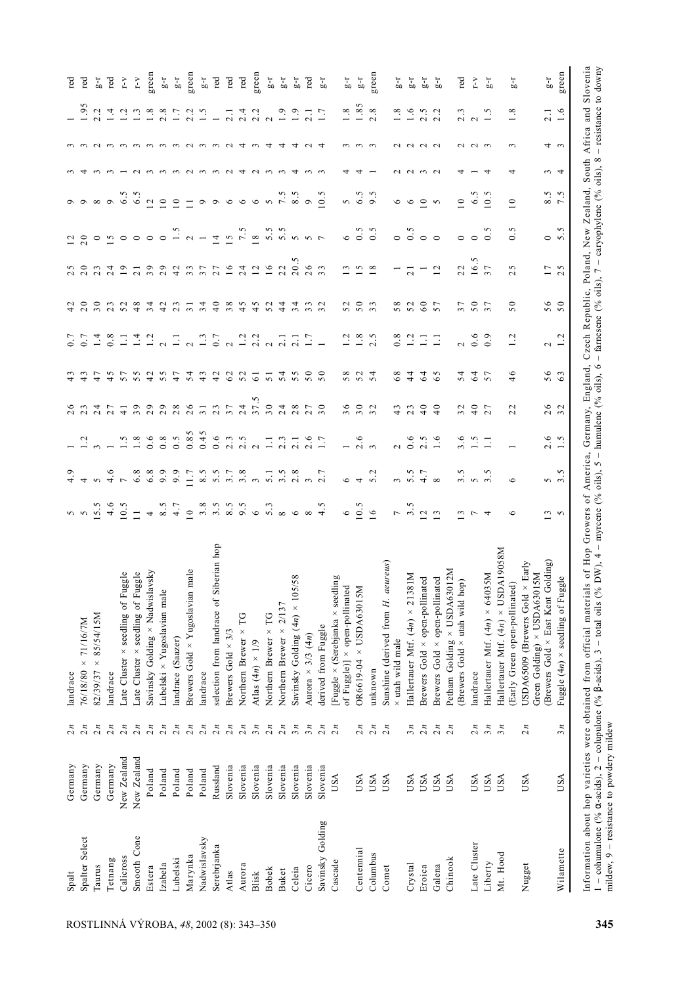| Spalt                                    | Germany     | $\frac{2}{n}$         | landrace                                                                                                                                                                                                                                                                                                                                                                                           |                         |                         |                         | 0                             |                 |                |                 |                                              |                                         |                                      |                   |                       |               | red                                             |
|------------------------------------------|-------------|-----------------------|----------------------------------------------------------------------------------------------------------------------------------------------------------------------------------------------------------------------------------------------------------------------------------------------------------------------------------------------------------------------------------------------------|-------------------------|-------------------------|-------------------------|-------------------------------|-----------------|----------------|-----------------|----------------------------------------------|-----------------------------------------|--------------------------------------|-------------------|-----------------------|---------------|-------------------------------------------------|
| Spalter Select                           | Germany     | $\frac{2}{n}$         | 76/18/80 × 71/16/7M                                                                                                                                                                                                                                                                                                                                                                                |                         |                         |                         |                               |                 | 0.7            | 20              |                                              |                                         |                                      |                   |                       | 1.95          | red                                             |
| Taurus                                   | Germany     | $\frac{2}{n}$         | $82/39/37 \times 85/54/15M$                                                                                                                                                                                                                                                                                                                                                                        |                         |                         |                         | 4<br>$\sim$                   | 47              | 1.4            | 30              | $\sim$                                       |                                         | ${}^{\circ}$                         |                   |                       | 2.2           | $1-9$                                           |
| Tetnang                                  | Germany     | $\frac{2}{n}$         | landrace                                                                                                                                                                                                                                                                                                                                                                                           |                         |                         |                         | $\sim$                        | 45              | 0.8            |                 |                                              |                                         | $\circ$                              |                   |                       | $\frac{4}{1}$ | red                                             |
| Calicross                                | New Zealand | $\frac{2}{n}$         | Late Cluster × seedling of Fuggle                                                                                                                                                                                                                                                                                                                                                                  | 0.5                     | $\overline{ }$          |                         | $\frac{1}{4}$                 | 57              | $\Xi$          | 52              | $\overline{19}$                              | $\circ$                                 | 6.5                                  |                   | $\sim$                | 1.2           | $r - v$                                         |
| Smooth Cone                              | New Zealand | $\frac{2}{n}$         | Late Cluster × seedling of Fuggle                                                                                                                                                                                                                                                                                                                                                                  | $\overline{1}$          | 6.8                     | $1.8\,$                 | $\circ$<br>$\mathbf{\hat{z}}$ | 55              | 1.4            | 48              | $\overline{21}$                              | $\circ$                                 | 6.5                                  |                   | $\sim$                | 1.3           | $\mathbf{r}\text{-}\mathbf{v}$                  |
| Estera                                   | Poland      | $\frac{2}{n}$         | Savinsky Golding × Nadwislavsky                                                                                                                                                                                                                                                                                                                                                                    | 4                       | 6.8                     | 0.6                     | $\circ$<br>$\sim$             | 42              | 1.2            | 34              | 39                                           | $\circ$                                 | $\mathcal{L}$                        |                   | $\sim$                | $1.8\,$       | green                                           |
| Izabela                                  | Poland      | $\frac{2}{n}$         | Lubelski × Yugoslavian male                                                                                                                                                                                                                                                                                                                                                                        | 8.5                     | 9.9                     | 0.8                     | $\circ$<br>$\sim$             | 55              |                | 42              | $\circ$<br>$\overline{\mathcal{C}}$          | $\circ$                                 | $\circ$                              |                   | $\sim$                | 2.8           | $\frac{1}{10}$                                  |
| Lubelski                                 | Poland      | $\frac{2}{n}$         | andrace (Saazer)                                                                                                                                                                                                                                                                                                                                                                                   | 4.7                     | 9.9                     | $0.\overline{5}$        | $\infty$<br>$\sim$            | 47              | $\Xi$          | 23              | $\frac{4}{2}$                                |                                         | $\circ$                              |                   |                       | 1.7           | $\rm I\mbox{-}5$                                |
| Marynka                                  | Poland      | $\frac{2}{n}$         | male<br>Brewers Gold × Yugoslavian                                                                                                                                                                                                                                                                                                                                                                 | $\overline{10}$         | 11.7                    | 0.85                    | $\circ$<br>$\sim$             | 54              | $\sim$         | $\overline{31}$ | 33                                           | $\frac{1}{2}$                           |                                      | $\sim$            | $\sim$                | 2.2           | green                                           |
| Nadwislavsky                             | Poland      | $\frac{2}{n}$         | landrace                                                                                                                                                                                                                                                                                                                                                                                           | 3.8                     | 8.5                     | 0.45                    | $\mathbf{c}$                  | 43              | 1.3            | 34              | 37                                           |                                         | $\circ$                              | $\sim$            | $\sim$                | 1.5           | $\mathbf{r}$ $\mathbf{g}$                       |
| Serebrjanka                              | Russland    | $\frac{2}{n}$         | iberian hop<br>selection from landrace of S:                                                                                                                                                                                                                                                                                                                                                       | $3.\overline{5}$<br>8.5 | 5.5                     | 0.6                     | $\omega$<br>$\sim$            | 42              | 0.7            | $\frac{1}{4}$   | 27                                           | $\overline{4}$                          | $\circ$                              | $\omega$ $\omega$ | $\sim$                |               | red                                             |
| Atlas                                    | Slovenia    | $\frac{2}{n}$         | Brewers Gold $\times$ 3/3                                                                                                                                                                                                                                                                                                                                                                          |                         | 3.7                     | 2.3                     | $\overline{c}$                | 62              |                | 38              | $\overline{16}$                              |                                         | $\circ$                              |                   | $\sim$                |               | red                                             |
| Aurora                                   | Slovenia    | $\frac{2}{n}$         | Northern Brewer × TG                                                                                                                                                                                                                                                                                                                                                                               | 9.5                     | 3.8                     | 2.5                     | 24                            | 52              | 1.2            | 45              | 24                                           | $157.5$<br>$18$                         | $\circ$                              | $\overline{4}$    | ෑ                     |               | $_{\rm red}$                                    |
| Blisk                                    | Slovenia    | $\mathfrak{Z}_n$      | Atlas $(4n) \times 1/9$                                                                                                                                                                                                                                                                                                                                                                            |                         |                         | $\sim$                  | 37.5                          | $\overline{61}$ | 2.2            | $\frac{45}{5}$  | 12                                           |                                         | $\circ$                              | $\sim$            | 2.2<br>$\sim$         |               | green                                           |
| <b>Bobek</b>                             | Slovenia    | 2n                    | Northern Brewer × TG                                                                                                                                                                                                                                                                                                                                                                               |                         | $\overline{5}$ .        | $\Box$                  | 30                            | 51              |                | 52              | 16                                           |                                         | $\sim$                               | $\sim$            | 4                     |               | $1-3$                                           |
| <b>Buket</b>                             | Slovenia    | $\frac{2}{n}$         | Northern Brewer $\times$ 2/137                                                                                                                                                                                                                                                                                                                                                                     |                         |                         | 2.3                     | $\sim$                        | 54              | 2.1            | $\frac{4}{4}$   | 22                                           |                                         |                                      | $\sim$            | 4                     | 1.9           |                                                 |
| Celeia                                   | Slovenia    | $\mathfrak{z}_n$      | 58<br>Savinsky Golding $(4n) \times 105$                                                                                                                                                                                                                                                                                                                                                           | 5.3                     | $3.8$<br>$3.8$<br>$3.7$ |                         | $4 \infty$                    | 55              | 2.1            | 4               | 20.5                                         | nn<br>nnnnn                             | $7.\overline{5}$<br>$9.\overline{5}$ | 4                 | 4                     |               | $7 - 7$<br>$7 - 7$                              |
| Cicero                                   | Slovenia    | $\mathfrak{z}_n$      | Aurora $\times$ 3/3 (4 <i>n</i> )                                                                                                                                                                                                                                                                                                                                                                  | $\infty$                |                         | $2.1$<br>$2.6$<br>$1.7$ | $\overline{r}$<br>$\sim$      | 50              |                |                 | 26                                           |                                         |                                      |                   | $\sim$                |               |                                                 |
| Savinsky Golding                         | Slovenia    | $\frac{2}{n}$         | derived from Fuggle                                                                                                                                                                                                                                                                                                                                                                                | $4.\overline{5}$        |                         |                         | 30                            |                 |                |                 | $\overline{33}$                              |                                         | $0.\overline{5}$                     |                   | $2.1$<br>$1.7$<br>ᢣ   |               | red<br>g<br>g                                   |
| Cascade                                  | <b>USA</b>  | $\frac{2}{n}$         | $[Fuggle \times (Serebjanka \times seedling) \times open-pollinated \\\ of Fuggle)] \times open-pollinated \\\ OR6619-04 \times \text{USDAG3015M}$                                                                                                                                                                                                                                                 | $\circ$                 | $\circ$                 |                         | $\circ$<br>$\sim$             |                 |                | 52              |                                              |                                         | s,                                   |                   |                       | $1.\,8$       |                                                 |
| Centennial                               | USA         | 2n                    |                                                                                                                                                                                                                                                                                                                                                                                                    | 10.5                    | $\overline{4}$          | $\frac{1}{2.6}$         | 30                            | 58              | 1.8            | 50              | 15                                           | $\begin{array}{c} 6 \\ 0.5 \end{array}$ | 6.5                                  |                   | $\sim$                | $1.85$<br>2.8 | $\begin{array}{cc} I- & 0 \\ 0 & 0 \end{array}$ |
| Columbus                                 | <b>USA</b>  | $\frac{2}{n}$         | unknown                                                                                                                                                                                                                                                                                                                                                                                            | 16                      |                         |                         | $\sim$<br>$\mathfrak{g}$      | 54              | 2.5            | 33              | 18                                           | 0.5                                     | 9.5                                  |                   | - ო                   |               | green                                           |
| Comet                                    | USA         | $\frac{2}{n}$         | Sunshine (derived from H. aeureus)                                                                                                                                                                                                                                                                                                                                                                 |                         |                         |                         |                               |                 |                |                 |                                              |                                         |                                      |                   |                       |               |                                                 |
|                                          |             |                       | x utah wild male                                                                                                                                                                                                                                                                                                                                                                                   | $\frac{5}{3}$ .5        |                         | $\sim$                  |                               | 68              | $\frac{8}{10}$ | 58              |                                              |                                         | 9                                    |                   | $\sim$                | 1.8           | $1-9$                                           |
| Crystal                                  | USA         | $\mathfrak{z}_n$      | Hallertauer Mtf. $(4n) \times 21381M$                                                                                                                                                                                                                                                                                                                                                              |                         |                         | $0.\overline{6}$        |                               | $\frac{4}{4}$   | 1.2            | 52              | $\overline{21}$                              | $0.\overline{5}$                        | $\circ$                              | $\sim$            | $\sim$                | $\frac{6}{1}$ | $\rm \dot{1}^{-0}$                              |
| Eroica                                   | USA         | $\frac{2}{n}$         | Brewers Gold × open-pollinated                                                                                                                                                                                                                                                                                                                                                                     | $\overline{c}$          | 4.7                     | 2.5                     | $\frac{6}{4}$                 | 64              | $\Xi$          | $60\,$          |                                              | $\circ$                                 | $\overline{0}$                       | $\sim$ $\sim$     | 2.5<br>$\sim$ $\sim$  |               | $1-5$                                           |
| Galena                                   | USA         | $\frac{2}{n}$         | Brewers Gold × open-pollinated                                                                                                                                                                                                                                                                                                                                                                     | $\overline{c}$          |                         | 1.6                     | $\frac{1}{4}$                 | 65              | $\Xi$          | 57              | 12                                           | $\circ$                                 | $\sim$                               |                   |                       | 2.2           | $\overline{1}$                                  |
| Chinook                                  | USA         | $\frac{2}{n}$         | Petham Golding × USDA63012M<br>(Brewers Gold × utah wild hop)                                                                                                                                                                                                                                                                                                                                      |                         |                         |                         | 32                            |                 |                | 37              |                                              |                                         | $\overline{0}$                       |                   | 2.3                   |               |                                                 |
|                                          |             |                       |                                                                                                                                                                                                                                                                                                                                                                                                    | $\omega$                |                         | 3.6                     |                               | 54              |                |                 | 22                                           | $\circ$                                 |                                      |                   | $\sim$                |               | red                                             |
| Late Cluster<br>Liberty                  | USA<br>USA  | 2n                    | Hallertauer Mtf. $(4n) \times 64035M$<br>landrace                                                                                                                                                                                                                                                                                                                                                  |                         | $\sim$                  | 1.5                     | $\frac{0}{4}$                 | 64<br>57        | 0.6            | 50<br>37        | 16.5<br>$\overline{\overline{\overline{3}}}$ | 0.5<br>$\circ$                          | 6.5<br>0.5                           |                   | $\sim$                |               | $\sum_{i=1}^{n}$                                |
|                                          |             | $\mathfrak{z}_n$      |                                                                                                                                                                                                                                                                                                                                                                                                    |                         |                         |                         |                               |                 |                |                 |                                              |                                         |                                      |                   |                       |               | $\overline{1}$                                  |
| Mt. Hood                                 | USA         | 3n                    | <b>M85061V</b><br>(Early Green open-pollinated)<br>Hallertauer Mtf. $(4n) \times$ USD                                                                                                                                                                                                                                                                                                              |                         | ৩                       |                         | $\mathbf{c}$<br>$\sim$        | 46              | 1.2            | 50              | 25                                           | $0.\overline{5}$                        | $\overline{10}$                      |                   |                       | 1.8           | $1-9$                                           |
| Nugget                                   | USA         | $\frac{2}{n}$         | USDA65009 (Brewers Gold × Early<br>Green Golding) × USDA63015M                                                                                                                                                                                                                                                                                                                                     |                         |                         |                         |                               |                 |                |                 |                                              |                                         |                                      |                   |                       |               |                                                 |
|                                          |             |                       | (Brewers Gold × East Kent Golding)                                                                                                                                                                                                                                                                                                                                                                 | 13                      | 5                       | 2.6                     | $\circ$<br>$\sim$             | 56<br>63        | $\sim$         | 56              | 17                                           | $\circ$                                 | $8.5$<br>7.5                         | 3                 | 4                     | 2.1           | $1-9$                                           |
| Wilamette                                | USA         | $\boldsymbol{z}$<br>3 | Fuggle $(4n) \times$ seedling of Fuggle                                                                                                                                                                                                                                                                                                                                                            | $\sim$                  | 5                       | $1.\overline{5}$        | $\sim$<br>$\epsilon$          |                 | 1.2            | 50              | 25                                           | $\ddot{\Omega}$<br>ູ່                   |                                      |                   | ന                     | 1.6           | green                                           |
| mildew, 9 - resistance to powdery mildew |             |                       | Information about hop varieties were obtained from official materials of Hop Growers of America, Germany, England, Czech Republic, Poland, New Zealand, South Africa and Slovenia<br>$1$ - cohumulone (% $\alpha$ -acids), $2$ - colupulone (% $\beta$ -acids), $3$ - total oils (% DW), $4$ - myrcene (% oils), $5$ - humulene (% oils), $6$ - farnesene (% oils), $7$ - caryophylene (% oils), 8 |                         |                         |                         |                               |                 |                |                 |                                              |                                         |                                      |                   | - resistance to downy |               |                                                 |
|                                          |             |                       |                                                                                                                                                                                                                                                                                                                                                                                                    |                         |                         |                         |                               |                 |                |                 |                                              |                                         |                                      |                   |                       |               |                                                 |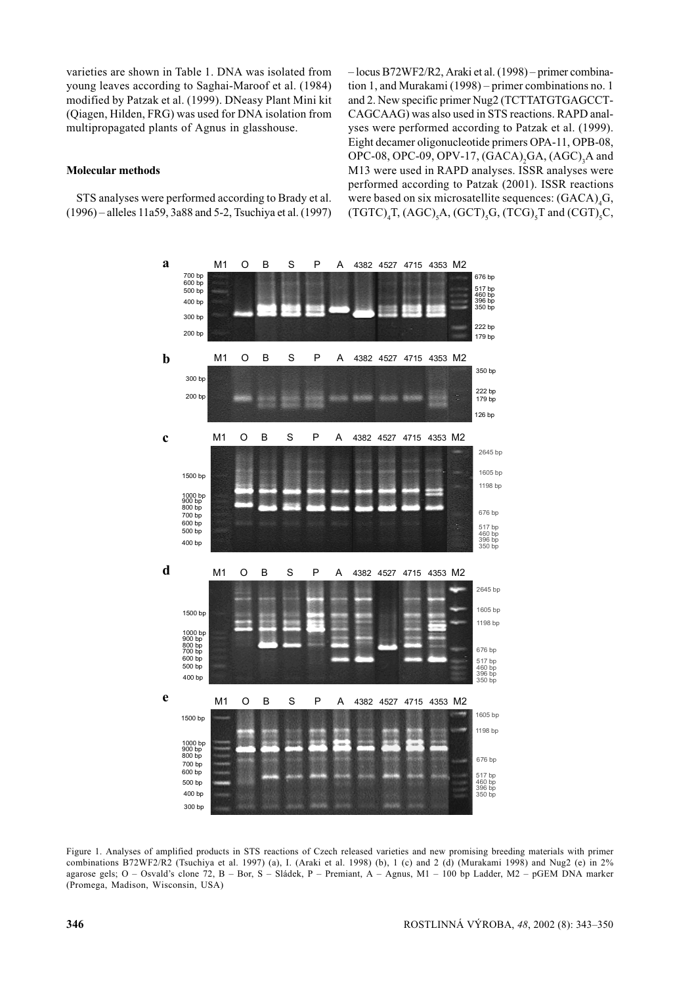varieties are shown in Table 1. DNA was isolated from voung leaves according to Saghai-Maroof et al. (1984) modified by Patzak et al. (1999). DNeasy Plant Mini kit (Qiagen, Hilden, FRG) was used for DNA isolation from multipropagated plants of Agnus in glasshouse.

## **Molecular methods**

STS analyses were performed according to Brady et al.  $(1996)$  – alleles 11a59, 3a88 and 5-2. Tsuchiva et al.  $(1997)$  -locus B72WF2/R2, Araki et al. (1998) - primer combination 1, and Murakami (1998) – primer combinations no. 1 and 2. New specific primer Nug2 (TCTTATGTGAGCCT-CAGCAAG) was also used in STS reactions. RAPD analvses were performed according to Patzak et al. (1999). Eight decamer oligonucleotide primers OPA-11, OPB-08, OPC-08, OPC-09, OPV-17, (GACA), GA, (AGC), A and M13 were used in RAPD analyses. ISSR analyses were performed according to Patzak (2001). ISSR reactions were based on six microsatellite sequences: (GACA), G,  $(TGTC)$ , T,  $(AGC)$ , A,  $(GCT)$ , G,  $(TCG)$ , T and  $(CGT)$ , C,



Figure 1. Analyses of amplified products in STS reactions of Czech released varieties and new promising breeding materials with primer combinations B72WF2/R2 (Tsuchiya et al. 1997) (a), I. (Araki et al. 1998) (b), 1 (c) and 2 (d) (Murakami 1998) and Nug2 (e) in 2% agarose gels; O - Osvald's clone 72, B - Bor, S - Sládek, P - Premiant, A - Agnus, M1 - 100 bp Ladder, M2 - pGEM DNA marker (Promega, Madison, Wisconsin, USA)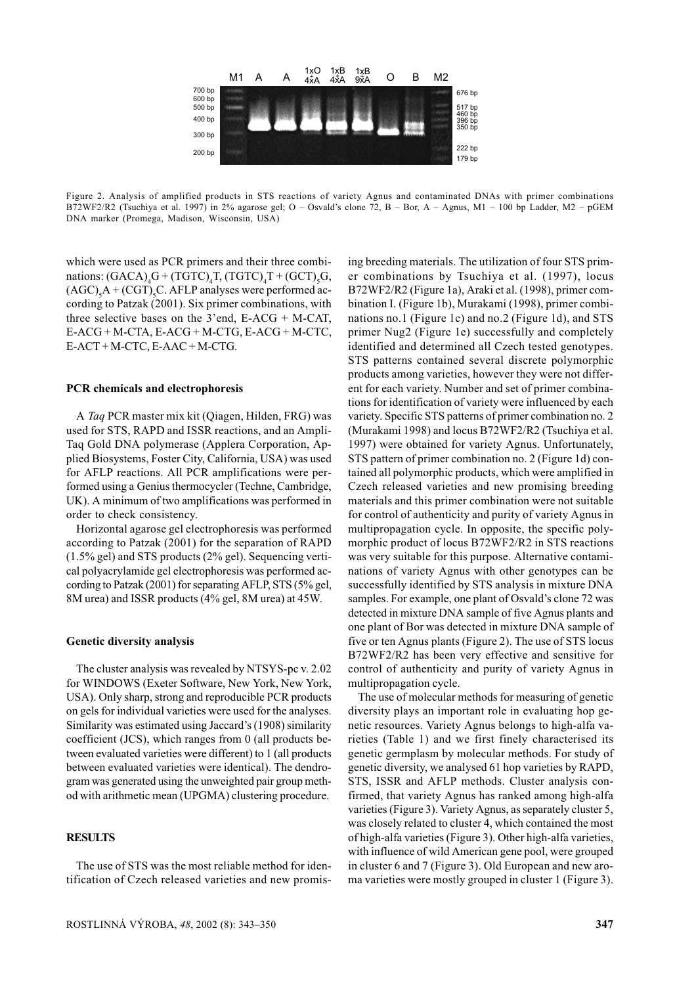

Figure 2. Analysis of amplified products in STS reactions of variety Agnus and contaminated DNAs with primer combinations B72WF2/R2 (Tsuchiya et al. 1997) in 2% agarose gel; O - Osvald's clone 72, B - Bor, A - Agnus, M1 - 100 bp Ladder, M2 - pGEM DNA marker (Promega, Madison, Wisconsin, USA)

which were used as PCR primers and their three combinations:  $(GACA)_G + (TGTC)_T$ ,  $(TGTC)_T + (GCT)_C$  $(AGC)$ <sub>c</sub>A + (CGT)<sub>c</sub>C. AFLP analyses were performed according to Patzak (2001). Six primer combinations, with three selective bases on the 3'end,  $E$ -ACG + M-CAT,  $E-ACG + M-CTA$ ,  $E-ACG + M-CTG$ ,  $E-ACG + M-CTC$ , E-ACT + M-CTC, E-AAC + M-CTG.

#### PCR chemicals and electrophoresis

A Taq PCR master mix kit (Qiagen, Hilden, FRG) was used for STS, RAPD and ISSR reactions, and an Ampli-Taq Gold DNA polymerase (Applera Corporation, Applied Biosystems, Foster City, California, USA) was used for AFLP reactions. All PCR amplifications were performed using a Genius thermocycler (Techne, Cambridge, UK). A minimum of two amplifications was performed in order to check consistency.

Horizontal agarose gel electrophoresis was performed according to Patzak (2001) for the separation of RAPD  $(1.5\%$  gel) and STS products (2% gel). Sequencing vertical polyacrylamide gel electrophoresis was performed according to Patzak (2001) for separating AFLP, STS (5% gel, 8M urea) and ISSR products (4% gel, 8M urea) at 45W.

#### **Genetic diversity analysis**

The cluster analysis was revealed by NTSYS-pc v. 2.02 for WINDOWS (Exeter Software, New York, New York, USA). Only sharp, strong and reproducible PCR products on gels for individual varieties were used for the analyses. Similarity was estimated using Jaccard's (1908) similarity coefficient (JCS), which ranges from 0 (all products between evaluated varieties were different) to 1 (all products between evaluated varieties were identical). The dendrogram was generated using the unweighted pair group method with arithmetic mean (UPGMA) clustering procedure.

## **RESULTS**

The use of STS was the most reliable method for identification of Czech released varieties and new promising breeding materials. The utilization of four STS primer combinations by Tsuchiya et al. (1997), locus B72WF2/R2 (Figure 1a), Araki et al. (1998), primer combination I. (Figure 1b), Murakami (1998), primer combinations no.1 (Figure 1c) and no.2 (Figure 1d), and STS primer Nug2 (Figure 1e) successfully and completely identified and determined all Czech tested genotypes. STS patterns contained several discrete polymorphic products among varieties, however they were not different for each variety. Number and set of primer combinations for identification of variety were influenced by each variety. Specific STS patterns of primer combination no. 2 (Murakami 1998) and locus B72WF2/R2 (Tsuchiya et al. 1997) were obtained for variety Agnus. Unfortunately, STS pattern of primer combination no. 2 (Figure 1d) contained all polymorphic products, which were amplified in Czech released varieties and new promising breeding materials and this primer combination were not suitable for control of authenticity and purity of variety Agnus in multipropagation cycle. In opposite, the specific polymorphic product of locus B72WF2/R2 in STS reactions was very suitable for this purpose. Alternative contaminations of variety Agnus with other genotypes can be successfully identified by STS analysis in mixture DNA samples. For example, one plant of Osvald's clone 72 was detected in mixture DNA sample of five Agnus plants and one plant of Bor was detected in mixture DNA sample of five or ten Agnus plants (Figure 2). The use of STS locus B72WF2/R2 has been very effective and sensitive for control of authenticity and purity of variety Agnus in multipropagation cycle.

The use of molecular methods for measuring of genetic diversity plays an important role in evaluating hop genetic resources. Variety Agnus belongs to high-alfa varieties (Table 1) and we first finely characterised its genetic germplasm by molecular methods. For study of genetic diversity, we analysed 61 hop varieties by RAPD, STS, ISSR and AFLP methods. Cluster analysis confirmed, that variety Agnus has ranked among high-alfa varieties (Figure 3). Variety Agnus, as separately cluster 5, was closely related to cluster 4, which contained the most of high-alfa varieties (Figure 3). Other high-alfa varieties, with influence of wild American gene pool, were grouped in cluster 6 and 7 (Figure 3). Old European and new aroma varieties were mostly grouped in cluster 1 (Figure 3).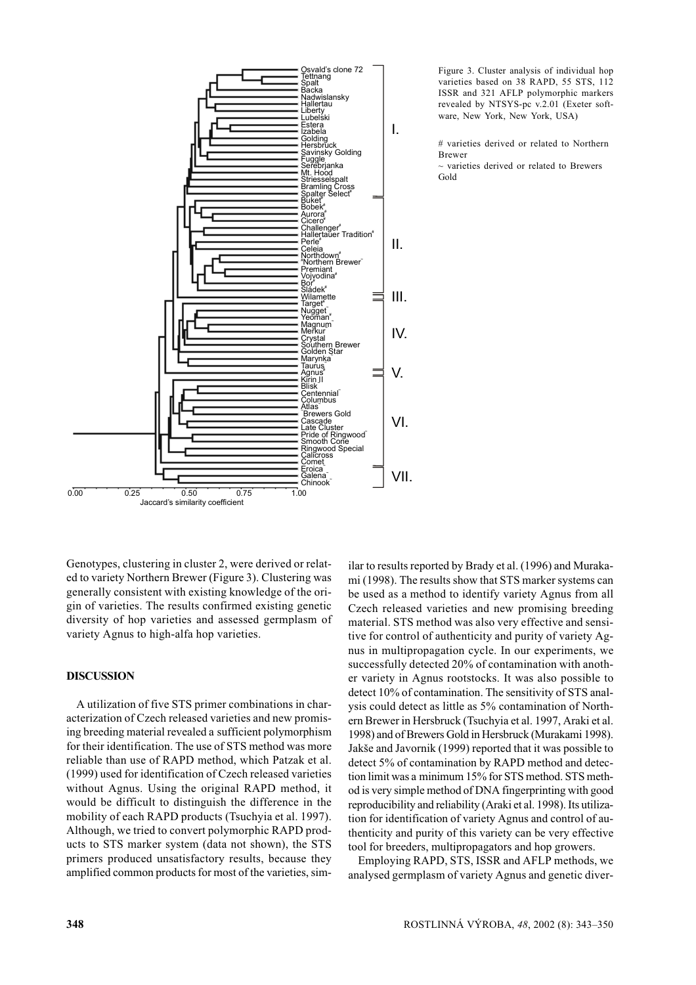

Figure 3. Cluster analysis of individual hop varieties based on 38 RAPD, 55 STS, 112 ISSR and 321 AFLP polymorphic markers revealed by NTSYS-pc v.2.01 (Exeter software, New York, New York, USA)

# varieties derived or related to Northern **Rrewer** 

 $\sim$  varieties derived or related to Brewers Gold

Genotypes, clustering in cluster 2, were derived or related to variety Northern Brewer (Figure 3). Clustering was generally consistent with existing knowledge of the origin of varieties. The results confirmed existing genetic diversity of hop varieties and assessed germplasm of variety Agnus to high-alfa hop varieties.

# **DISCUSSION**

A utilization of five STS primer combinations in characterization of Czech released varieties and new promising breeding material revealed a sufficient polymorphism for their identification. The use of STS method was more reliable than use of RAPD method, which Patzak et al. (1999) used for identification of Czech released varieties without Agnus. Using the original RAPD method, it would be difficult to distinguish the difference in the mobility of each RAPD products (Tsuchyia et al. 1997). Although, we tried to convert polymorphic RAPD products to STS marker system (data not shown), the STS primers produced unsatisfactory results, because they amplified common products for most of the varieties, similar to results reported by Brady et al. (1996) and Murakami (1998). The results show that STS marker systems can be used as a method to identify variety Agnus from all Czech released varieties and new promising breeding material. STS method was also very effective and sensitive for control of authenticity and purity of variety Agnus in multipropagation cycle. In our experiments, we successfully detected 20% of contamination with another variety in Agnus rootstocks. It was also possible to detect 10% of contamination. The sensitivity of STS analysis could detect as little as 5% contamination of Northern Brewer in Hersbruck (Tsuchyia et al. 1997, Araki et al. 1998) and of Brewers Gold in Hersbruck (Murakami 1998). Jakše and Javornik (1999) reported that it was possible to detect 5% of contamination by RAPD method and detection limit was a minimum 15% for STS method. STS method is very simple method of DNA fingerprinting with good reproducibility and reliability (Araki et al. 1998). Its utilization for identification of variety Agnus and control of authenticity and purity of this variety can be very effective tool for breeders, multipropagators and hop growers.

Employing RAPD, STS, ISSR and AFLP methods, we analysed germplasm of variety Agnus and genetic diver-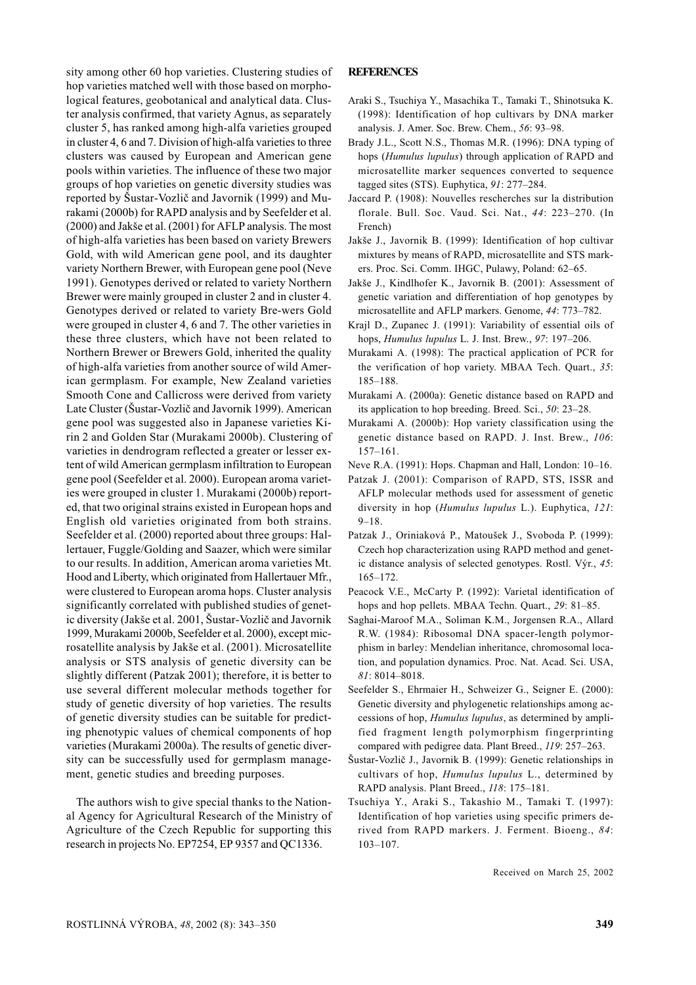ROSTLINNÁ VÝROBA, 48, 2002 (8): 343–350

sity among other 60 hop varieties. Clustering studies of hop varieties matched well with those based on morphological features, geobotanical and analytical data. Cluster analysis confirmed, that variety Agnus, as separately cluster 5, has ranked among high-alfa varieties grouped in cluster 4, 6 and 7. Division of high-alfa varieties to three clusters was caused by European and American gene pools within varieties. The influence of these two major groups of hop varieties on genetic diversity studies was reported by Šustar-Vozlič and Javornik (1999) and Murakami (2000b) for RAPD analysis and by Seefelder et al. (2000) and Jakše et al. (2001) for AFLP analysis. The most of high-alfa varieties has been based on variety Brewers Gold, with wild American gene pool, and its daughter variety Northern Brewer, with European gene pool (Neve 1991). Genotypes derived or related to variety Northern Brewer were mainly grouped in cluster 2 and in cluster 4. Genotypes derived or related to variety Bre-wers Gold were grouped in cluster 4, 6 and 7. The other varieties in these three clusters, which have not been related to Northern Brewer or Brewers Gold, inherited the quality of high-alfa varieties from another source of wild American germplasm. For example, New Zealand varieties Smooth Cone and Callicross were derived from variety Late Cluster (Šustar-Vozlič and Javornik 1999). American gene pool was suggested also in Japanese varieties Kirin 2 and Golden Star (Murakami 2000b). Clustering of varieties in dendrogram reflected a greater or lesser extent of wild American germplasm infiltration to European gene pool (Seefelder et al. 2000). European aroma varieties were grouped in cluster 1. Murakami (2000b) reported, that two original strains existed in European hops and English old varieties originated from both strains. Seefelder et al. (2000) reported about three groups: Hallertauer, Fuggle/Golding and Saazer, which were similar to our results. In addition, American aroma varieties Mt. Hood and Liberty, which originated from Hallertauer Mfr., were clustered to European aroma hops. Cluster analysis significantly correlated with published studies of genetic diversity (Jakše et al. 2001, Šustar-Vozlič and Javornik 1999, Murakami 2000b, Seefelder et al. 2000), except microsatellite analysis by Jakše et al. (2001). Microsatellite analysis or STS analysis of genetic diversity can be slightly different (Patzak 2001); therefore, it is better to use several different molecular methods together for study of genetic diversity of hop varieties. The results of genetic diversity studies can be suitable for predicting phenotypic values of chemical components of hop varieties (Murakami 2000a). The results of genetic diversity can be successfully used for germplasm management, genetic studies and breeding purposes.

# **REFERENCES**

- Araki S., Tsuchiya Y., Masachika T., Tamaki T., Shinotsuka K. (1998): Identification of hop cultivars by DNA marker analysis. J. Amer. Soc. Brew. Chem., 56: 93-98.
- Brady J.L., Scott N.S., Thomas M.R. (1996): DNA typing of hops (*Humulus lupulus*) through application of RAPD and microsatellite marker sequences converted to sequence tagged sites (STS). Euphytica, 91: 277-284.
- Jaccard P. (1908): Nouvelles rescherches sur la distribution florale, Bull, Soc. Vaud, Sci. Nat., 44: 223-270. (In French)
- Jakše J., Javornik B. (1999): Identification of hop cultivar mixtures by means of RAPD, microsatellite and STS markers. Proc. Sci. Comm. IHGC, Pulawy, Poland: 62-65.
- Jakše J., Kindlhofer K., Javornik B. (2001): Assessment of genetic variation and differentiation of hop genotypes by microsatellite and AFLP markers. Genome, 44: 773-782.
- Krajl D., Zupanec J. (1991): Variability of essential oils of hops, Humulus lupulus L. J. Inst. Brew., 97: 197-206.
- Murakami A. (1998): The practical application of PCR for the verification of hop variety. MBAA Tech. Ouart., 35: 185-188
- Murakami A. (2000a): Genetic distance based on RAPD and its application to hop breeding. Breed. Sci.,  $50: 23-28$ .
- Murakami A. (2000b): Hop variety classification using the genetic distance based on RAPD. J. Inst. Brew., 106:  $157 - 161.$
- Neve R.A. (1991): Hops. Chapman and Hall, London: 10-16.
- Patzak J. (2001): Comparison of RAPD, STS, ISSR and AFLP molecular methods used for assessment of genetic diversity in hop (Humulus lupulus L.). Euphytica, 121:  $9 - 18$
- Patzak J., Oriniaková P., Matoušek J., Svoboda P. (1999): Czech hop characterization using RAPD method and genetic distance analysis of selected genotypes. Rostl. Výr., 45:  $165 - 172.$
- Peacock V.E., McCarty P. (1992): Varietal identification of hops and hop pellets. MBAA Techn. Quart., 29: 81-85.
- Saghai-Maroof M.A., Soliman K.M., Jorgensen R.A., Allard R.W. (1984): Ribosomal DNA spacer-length polymorphism in barley: Mendelian inheritance, chromosomal location, and population dynamics. Proc. Nat. Acad. Sci. USA,  $81:8014 - 8018.$
- Seefelder S., Ehrmaier H., Schweizer G., Seigner E. (2000): Genetic diversity and phylogenetic relationships among accessions of hop, *Humulus lupulus*, as determined by amplified fragment length polymorphism fingerprinting compared with pedigree data. Plant Breed., 119: 257-263.
- Šustar-Vozlič J., Javornik B. (1999): Genetic relationships in cultivars of hop, Humulus lupulus L., determined by RAPD analysis. Plant Breed., 118: 175-181.
- Tsuchiya Y., Araki S., Takashio M., Tamaki T. (1997): Identification of hop varieties using specific primers derived from RAPD markers. J. Ferment. Bioeng., 84:  $103 - 107$ .

Received on March 25, 2002